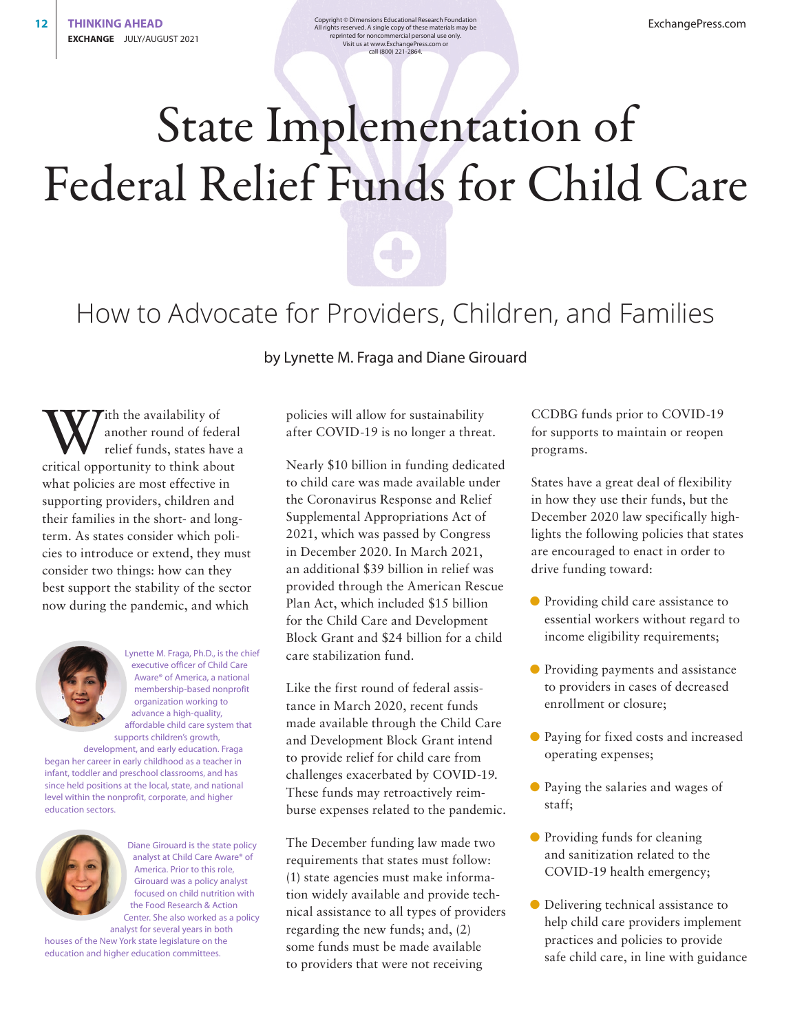**12 THINKING AHEAD Copyright** © Dimensions Educational Research Foundation<br>All rights reserved. A single copy of these materials may be reprinted for noncommercial personal use only. Visit us at www.ExchangePress.com or call (800) 221-2864.

## State Implementation of Federal Relief Funds for Child Care



by Lynette M. Fraga and Diane Girouard

With the availability of<br>another round of fede<br>relief funds, states has another round of federal relief funds, states have a critical opportunity to think about what policies are most effective in supporting providers, children and their families in the short- and longterm. As states consider which policies to introduce or extend, they must consider two things: how can they best support the stability of the sector now during the pandemic, and which



Lynette M. Fraga, Ph.D., is the chief executive officer of Child Care Aware® of America, a national membership-based nonprofit organization working to advance a high-quality, affordable child care system that supports children's growth,

development, and early education. Fraga began her career in early childhood as a teacher in infant, toddler and preschool classrooms, and has since held positions at the local, state, and national level within the nonprofit, corporate, and higher education sectors.



Diane Girouard is the state policy analyst at Child Care Aware® of America. Prior to this role, Girouard was a policy analyst focused on child nutrition with the Food Research & Action Center. She also worked as a policy analyst for several years in both

houses of the New York state legislature on the education and higher education committees.

policies will allow for sustainability after COVID-19 is no longer a threat.

Nearly \$10 billion in funding dedicated to child care was made available under the Coronavirus Response and Relief Supplemental Appropriations Act of 2021, which was passed by Congress in December 2020. In March 2021, an additional \$39 billion in relief was provided through the American Rescue Plan Act, which included \$15 billion for the Child Care and Development Block Grant and \$24 billion for a child care stabilization fund.

Like the first round of federal assistance in March 2020, recent funds made available through the Child Care and Development Block Grant intend to provide relief for child care from challenges exacerbated by COVID-19. These funds may retroactively reimburse expenses related to the pandemic.

The December funding law made two requirements that states must follow: (1) state agencies must make information widely available and provide technical assistance to all types of providers regarding the new funds; and, (2) some funds must be made available to providers that were not receiving

CCDBG funds prior to COVID-19 for supports to maintain or reopen programs.

States have a great deal of flexibility in how they use their funds, but the December 2020 law specifically highlights the following policies that states are encouraged to enact in order to drive funding toward:

- D Providing child care assistance to essential workers without regard to income eligibility requirements;
- Providing payments and assistance to providers in cases of decreased enrollment or closure;
- D Paying for fixed costs and increased operating expenses;
- D Paying the salaries and wages of staff;
- D Providing funds for cleaning and sanitization related to the COVID-19 health emergency;
- Delivering technical assistance to help child care providers implement practices and policies to provide safe child care, in line with guidance